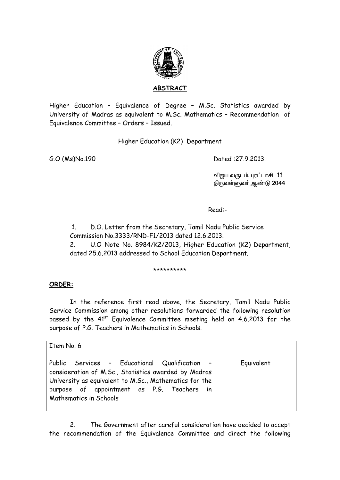

ABSTRACT

Higher Education - Equivalence of Degree - M.Sc. Statistics awarded by University of Madras as equivalent to M.Sc. Mathematics - Recommendation of Equivalence Committee - Orders - Issued.

Higher Education (K2) Department

G.O (Ms)No.190

Dated: 27.9.2013.

விஜய வருடம், புரட்டாசி 11 திருவள்ளுவர் ஆண்டு 2044

Read:-

 $1.$ D.O. Letter from the Secretary, Tamil Nadu Public Service Commission No.3333/RND-F1/2013 dated 12.6.2013.

 $2^{\circ}$ U.O Note No. 8984/K2/2013, Higher Education (K2) Department, dated 25.6.2013 addressed to School Education Department.

\*\*\*\*\*\*\*\*\*\*

## ORDER:

In the reference first read above, the Secretary, Tamil Nadu Public Service Commission among other resolutions forwarded the following resolution passed by the 41<sup>st</sup> Equivalence Committee meeting held on 4.6.2013 for the purpose of P.G. Teachers in Mathematics in Schools.

| Item No. 6                                                                                                                                                                                                                              |            |
|-----------------------------------------------------------------------------------------------------------------------------------------------------------------------------------------------------------------------------------------|------------|
| Public Services - Educational Qualification -<br>consideration of M.Sc., Statistics awarded by Madras<br>University as equivalent to M.Sc., Mathematics for the<br>purpose of appointment as P.G. Teachers in<br>Mathematics in Schools | Equivalent |

The Government after careful consideration have decided to accept  $2<sub>1</sub>$ the recommendation of the Equivalence Committee and direct the following